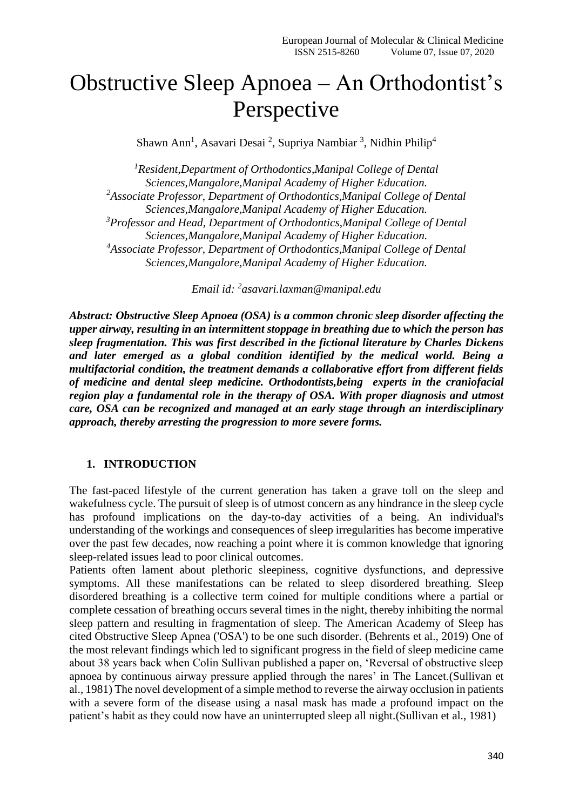# Obstructive Sleep Apnoea – An Orthodontist's Perspective

Shawn Ann<sup>1</sup>, Asavari Desai<sup>2</sup>, Supriya Nambiar<sup>3</sup>, Nidhin Philip<sup>4</sup>

*<sup>1</sup>Resident,Department of Orthodontics,Manipal College of Dental Sciences,Mangalore,Manipal Academy of Higher Education. <sup>2</sup>Associate Professor, Department of Orthodontics,Manipal College of Dental Sciences,Mangalore,Manipal Academy of Higher Education. <sup>3</sup>Professor and Head, Department of Orthodontics,Manipal College of Dental Sciences,Mangalore,Manipal Academy of Higher Education. <sup>4</sup>Associate Professor, Department of Orthodontics,Manipal College of Dental Sciences,Mangalore,Manipal Academy of Higher Education.*

*Email id: <sup>2</sup> [asavari.laxman@manipal.edu](mailto:2asavari.laxman@manipal.edu)*

*Abstract: Obstructive Sleep Apnoea (OSA) is a common chronic sleep disorder affecting the upper airway, resulting in an intermittent stoppage in breathing due to which the person has sleep fragmentation. This was first described in the fictional literature by Charles Dickens and later emerged as a global condition identified by the medical world. Being a multifactorial condition, the treatment demands a collaborative effort from different fields of medicine and dental sleep medicine. Orthodontists,being experts in the craniofacial region play a fundamental role in the therapy of OSA. With proper diagnosis and utmost care, OSA can be recognized and managed at an early stage through an interdisciplinary approach, thereby arresting the progression to more severe forms.*

#### **1. INTRODUCTION**

The fast-paced lifestyle of the current generation has taken a grave toll on the sleep and wakefulness cycle. The pursuit of sleep is of utmost concern as any hindrance in the sleep cycle has profound implications on the day-to-day activities of a being. An individual's understanding of the workings and consequences of sleep irregularities has become imperative over the past few decades, now reaching a point where it is common knowledge that ignoring sleep-related issues lead to poor clinical outcomes.

Patients often lament about plethoric sleepiness, cognitive dysfunctions, and depressive symptoms. All these manifestations can be related to sleep disordered breathing. Sleep disordered breathing is a collective term coined for multiple conditions where a partial or complete cessation of breathing occurs several times in the night, thereby inhibiting the normal sleep pattern and resulting in fragmentation of sleep. The American Academy of Sleep has cited Obstructive Sleep Apnea ('OSA') to be one such disorder. (Behrents et al., 2019) One of the most relevant findings which led to significant progress in the field of sleep medicine came about 38 years back when Colin Sullivan published a paper on, 'Reversal of obstructive sleep apnoea by continuous airway pressure applied through the nares' in The Lancet.(Sullivan et al., 1981) The novel development of a simple method to reverse the airway occlusion in patients with a severe form of the disease using a nasal mask has made a profound impact on the patient's habit as they could now have an uninterrupted sleep all night.(Sullivan et al., 1981)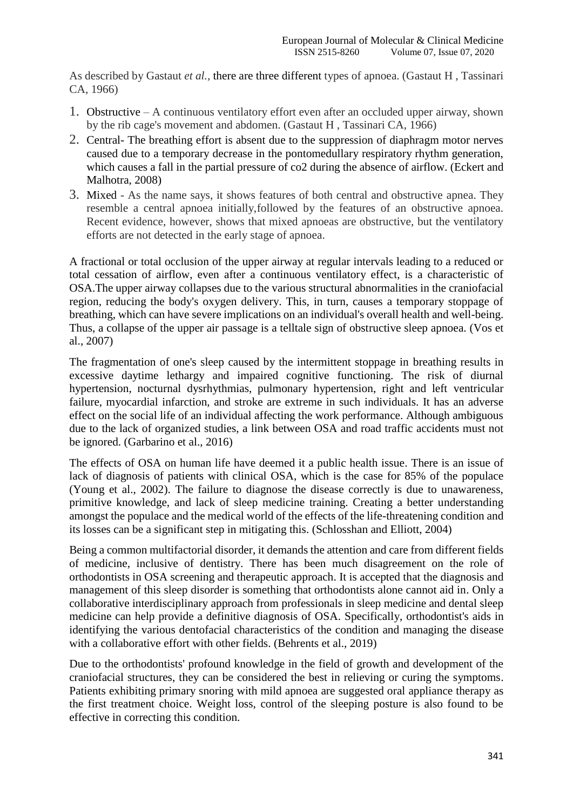As described by Gastaut *et al.,* there are three different types of apnoea. (Gastaut H , Tassinari CA, 1966)

- 1. Obstructive A continuous ventilatory effort even after an occluded upper airway, shown by the rib cage's movement and abdomen. (Gastaut H , Tassinari CA, 1966)
- 2. Central- The breathing effort is absent due to the suppression of diaphragm motor nerves caused due to a temporary decrease in the pontomedullary respiratory rhythm generation, which causes a fall in the partial pressure of co2 during the absence of airflow. (Eckert and Malhotra, 2008)
- 3. Mixed As the name says, it shows features of both central and obstructive apnea. They resemble a central apnoea initially,followed by the features of an obstructive apnoea. Recent evidence, however, shows that mixed apnoeas are obstructive, but the ventilatory efforts are not detected in the early stage of apnoea.

A fractional or total occlusion of the upper airway at regular intervals leading to a reduced or total cessation of airflow, even after a continuous ventilatory effect, is a characteristic of OSA.The upper airway collapses due to the various structural abnormalities in the craniofacial region, reducing the body's oxygen delivery. This, in turn, causes a temporary stoppage of breathing, which can have severe implications on an individual's overall health and well-being. Thus, a collapse of the upper air passage is a telltale sign of obstructive sleep apnoea. (Vos et al., 2007)

The fragmentation of one's sleep caused by the intermittent stoppage in breathing results in excessive daytime lethargy and impaired cognitive functioning. The risk of diurnal hypertension, nocturnal dysrhythmias, pulmonary hypertension, right and left ventricular failure, myocardial infarction, and stroke are extreme in such individuals. It has an adverse effect on the social life of an individual affecting the work performance. Although ambiguous due to the lack of organized studies, a link between OSA and road traffic accidents must not be ignored. (Garbarino et al., 2016)

The effects of OSA on human life have deemed it a public health issue. There is an issue of lack of diagnosis of patients with clinical OSA, which is the case for 85% of the populace (Young et al., 2002). The failure to diagnose the disease correctly is due to unawareness, primitive knowledge, and lack of sleep medicine training. Creating a better understanding amongst the populace and the medical world of the effects of the life-threatening condition and its losses can be a significant step in mitigating this. (Schlosshan and Elliott, 2004)

Being a common multifactorial disorder, it demands the attention and care from different fields of medicine, inclusive of dentistry. There has been much disagreement on the role of orthodontists in OSA screening and therapeutic approach. It is accepted that the diagnosis and management of this sleep disorder is something that orthodontists alone cannot aid in. Only a collaborative interdisciplinary approach from professionals in sleep medicine and dental sleep medicine can help provide a definitive diagnosis of OSA. Specifically, orthodontist's aids in identifying the various dentofacial characteristics of the condition and managing the disease with a collaborative effort with other fields. (Behrents et al., 2019)

Due to the orthodontists' profound knowledge in the field of growth and development of the craniofacial structures, they can be considered the best in relieving or curing the symptoms. Patients exhibiting primary snoring with mild apnoea are suggested oral appliance therapy as the first treatment choice. Weight loss, control of the sleeping posture is also found to be effective in correcting this condition.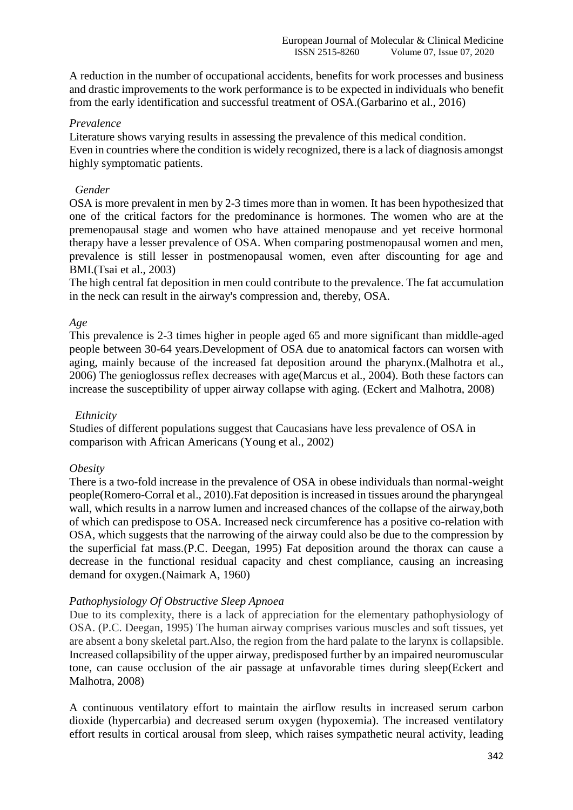A reduction in the number of occupational accidents, benefits for work processes and business and drastic improvements to the work performance is to be expected in individuals who benefit from the early identification and successful treatment of OSA.(Garbarino et al., 2016)

## *Prevalence*

Literature shows varying results in assessing the prevalence of this medical condition. Even in countries where the condition is widely recognized, there is a lack of diagnosis amongst highly symptomatic patients.

# *Gender*

OSA is more prevalent in men by 2-3 times more than in women. It has been hypothesized that one of the critical factors for the predominance is hormones. The women who are at the premenopausal stage and women who have attained menopause and yet receive hormonal therapy have a lesser prevalence of OSA. When comparing postmenopausal women and men, prevalence is still lesser in postmenopausal women, even after discounting for age and BMI.(Tsai et al., 2003)

The high central fat deposition in men could contribute to the prevalence. The fat accumulation in the neck can result in the airway's compression and, thereby, OSA.

# *Age*

This prevalence is 2-3 times higher in people aged 65 and more significant than middle-aged people between 30-64 years.Development of OSA due to anatomical factors can worsen with aging, mainly because of the increased fat deposition around the pharynx.(Malhotra et al., 2006) The genioglossus reflex decreases with age(Marcus et al., 2004). Both these factors can increase the susceptibility of upper airway collapse with aging. (Eckert and Malhotra, 2008)

## *Ethnicity*

Studies of different populations suggest that Caucasians have less prevalence of OSA in comparison with African Americans (Young et al., 2002)

# *Obesity*

There is a two-fold increase in the prevalence of OSA in obese individuals than normal-weight people(Romero-Corral et al., 2010).Fat deposition is increased in tissues around the pharyngeal wall, which results in a narrow lumen and increased chances of the collapse of the airway,both of which can predispose to OSA. Increased neck circumference has a positive co-relation with OSA, which suggests that the narrowing of the airway could also be due to the compression by the superficial fat mass.(P.C. Deegan, 1995) Fat deposition around the thorax can cause a decrease in the functional residual capacity and chest compliance, causing an increasing demand for oxygen.(Naimark A, 1960)

# *Pathophysiology Of Obstructive Sleep Apnoea*

Due to its complexity, there is a lack of appreciation for the elementary pathophysiology of OSA. (P.C. Deegan, 1995) The human airway comprises various muscles and soft tissues, yet are absent a bony skeletal part.Also, the region from the hard palate to the larynx is collapsible. Increased collapsibility of the upper airway, predisposed further by an impaired neuromuscular tone, can cause occlusion of the air passage at unfavorable times during sleep(Eckert and Malhotra, 2008)

A continuous ventilatory effort to maintain the airflow results in increased serum carbon dioxide (hypercarbia) and decreased serum oxygen (hypoxemia). The increased ventilatory effort results in cortical arousal from sleep, which raises sympathetic neural activity, leading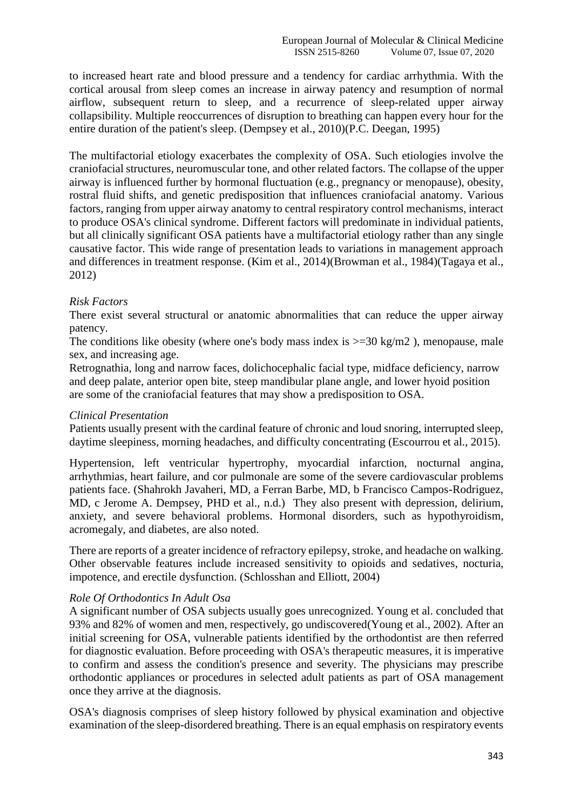to increased heart rate and blood pressure and a tendency for cardiac arrhythmia. With the cortical arousal from sleep comes an increase in airway patency and resumption of normal airflow, subsequent return to sleep, and a recurrence of sleep-related upper airway collapsibility. Multiple reoccurrences of disruption to breathing can happen every hour for the entire duration of the patient's sleep. (Dempsey et al., 2010)(P.C. Deegan, 1995)

The multifactorial etiology exacerbates the complexity of OSA. Such etiologies involve the craniofacial structures, neuromuscular tone, and other related factors. The collapse of the upper airway is influenced further by hormonal fluctuation (e.g., pregnancy or menopause), obesity, rostral fluid shifts, and genetic predisposition that influences craniofacial anatomy. Various factors, ranging from upper airway anatomy to central respiratory control mechanisms, interact to produce OSA's clinical syndrome. Different factors will predominate in individual patients, but all clinically significant OSA patients have a multifactorial etiology rather than any single causative factor. This wide range of presentation leads to variations in management approach and differences in treatment response. (Kim et al., 2014)(Browman et al., 1984)(Tagaya et al., 2012)

# *Risk Factors*

There exist several structural or anatomic abnormalities that can reduce the upper airway patency.

The conditions like obesity (where one's body mass index is  $\geq$ =30 kg/m2), menopause, male sex, and increasing age.

Retrognathia, long and narrow faces, dolichocephalic facial type, midface deficiency, narrow and deep palate, anterior open bite, steep mandibular plane angle, and lower hyoid position are some of the craniofacial features that may show a predisposition to OSA.

## *Clinical Presentation*

Patients usually present with the cardinal feature of chronic and loud snoring, interrupted sleep, daytime sleepiness, morning headaches, and difficulty concentrating (Escourrou et al., 2015).

Hypertension, left ventricular hypertrophy, myocardial infarction, nocturnal angina, arrhythmias, heart failure, and cor pulmonale are some of the severe cardiovascular problems patients face. (Shahrokh Javaheri, MD, a Ferran Barbe, MD, b Francisco Campos-Rodriguez, MD, c Jerome A. Dempsey, PHD et al., n.d.) They also present with depression, delirium, anxiety, and severe behavioral problems. Hormonal disorders, such as hypothyroidism, acromegaly, and diabetes, are also noted.

There are reports of a greater incidence of refractory epilepsy, stroke, and headache on walking. Other observable features include increased sensitivity to opioids and sedatives, nocturia, impotence, and erectile dysfunction. (Schlosshan and Elliott, 2004)

## *Role Of Orthodontics In Adult Osa*

A significant number of OSA subjects usually goes unrecognized. Young et al. concluded that 93% and 82% of women and men, respectively, go undiscovered(Young et al., 2002). After an initial screening for OSA, vulnerable patients identified by the orthodontist are then referred for diagnostic evaluation. Before proceeding with OSA's therapeutic measures, it is imperative to confirm and assess the condition's presence and severity. The physicians may prescribe orthodontic appliances or procedures in selected adult patients as part of OSA management once they arrive at the diagnosis.

OSA's diagnosis comprises of sleep history followed by physical examination and objective examination of the sleep-disordered breathing. There is an equal emphasis on respiratory events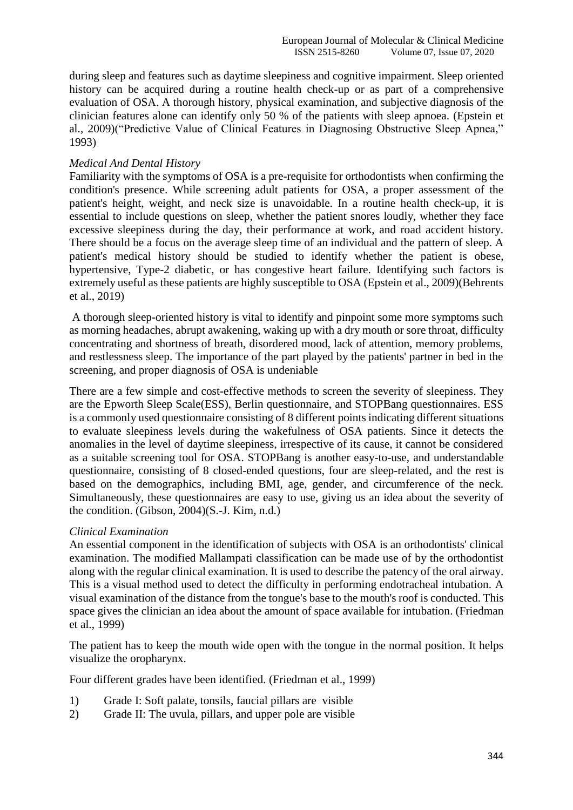during sleep and features such as daytime sleepiness and cognitive impairment. Sleep oriented history can be acquired during a routine health check-up or as part of a comprehensive evaluation of OSA. A thorough history, physical examination, and subjective diagnosis of the clinician features alone can identify only 50 % of the patients with sleep apnoea. (Epstein et al., 2009)("Predictive Value of Clinical Features in Diagnosing Obstructive Sleep Apnea," 1993)

## *Medical And Dental History*

Familiarity with the symptoms of OSA is a pre-requisite for orthodontists when confirming the condition's presence. While screening adult patients for OSA, a proper assessment of the patient's height, weight, and neck size is unavoidable. In a routine health check-up, it is essential to include questions on sleep, whether the patient snores loudly, whether they face excessive sleepiness during the day, their performance at work, and road accident history. There should be a focus on the average sleep time of an individual and the pattern of sleep. A patient's medical history should be studied to identify whether the patient is obese, hypertensive, Type-2 diabetic, or has congestive heart failure. Identifying such factors is extremely useful as these patients are highly susceptible to OSA (Epstein et al., 2009)(Behrents et al., 2019)

A thorough sleep-oriented history is vital to identify and pinpoint some more symptoms such as morning headaches, abrupt awakening, waking up with a dry mouth or sore throat, difficulty concentrating and shortness of breath, disordered mood, lack of attention, memory problems, and restlessness sleep. The importance of the part played by the patients' partner in bed in the screening, and proper diagnosis of OSA is undeniable

There are a few simple and cost-effective methods to screen the severity of sleepiness. They are the Epworth Sleep Scale(ESS), Berlin questionnaire, and STOPBang questionnaires. ESS is a commonly used questionnaire consisting of 8 different points indicating different situations to evaluate sleepiness levels during the wakefulness of OSA patients. Since it detects the anomalies in the level of daytime sleepiness, irrespective of its cause, it cannot be considered as a suitable screening tool for OSA. STOPBang is another easy-to-use, and understandable questionnaire, consisting of 8 closed-ended questions, four are sleep-related, and the rest is based on the demographics, including BMI, age, gender, and circumference of the neck. Simultaneously, these questionnaires are easy to use, giving us an idea about the severity of the condition. (Gibson, 2004)(S.-J. Kim, n.d.)

## *Clinical Examination*

An essential component in the identification of subjects with OSA is an orthodontists' clinical examination. The modified Mallampati classification can be made use of by the orthodontist along with the regular clinical examination. It is used to describe the patency of the oral airway. This is a visual method used to detect the difficulty in performing endotracheal intubation. A visual examination of the distance from the tongue's base to the mouth's roof is conducted. This space gives the clinician an idea about the amount of space available for intubation. (Friedman et al., 1999)

The patient has to keep the mouth wide open with the tongue in the normal position. It helps visualize the oropharynx.

Four different grades have been identified. (Friedman et al., 1999)

- 1) Grade I: Soft palate, tonsils, faucial pillars are visible
- 2) Grade II: The uvula, pillars, and upper pole are visible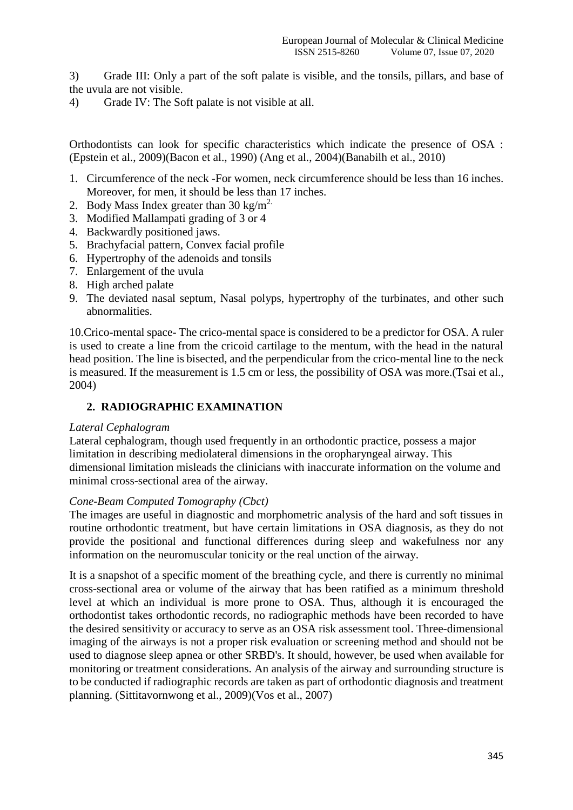3) Grade III: Only a part of the soft palate is visible, and the tonsils, pillars, and base of the uvula are not visible.

4) Grade IV: The Soft palate is not visible at all.

Orthodontists can look for specific characteristics which indicate the presence of OSA : (Epstein et al., 2009)(Bacon et al., 1990) (Ang et al., 2004)(Banabilh et al., 2010)

- 1. Circumference of the neck -For women, neck circumference should be less than 16 inches. Moreover, for men, it should be less than 17 inches.
- 2. Body Mass Index greater than  $30 \text{ kg/m}^2$ .
- 3. Modified Mallampati grading of 3 or 4
- 4. Backwardly positioned jaws.
- 5. Brachyfacial pattern, Convex facial profile
- 6. Hypertrophy of the adenoids and tonsils
- 7. Enlargement of the uvula
- 8. High arched palate
- 9. The deviated nasal septum, Nasal polyps, hypertrophy of the turbinates, and other such abnormalities.

10.Crico-mental space- The crico-mental space is considered to be a predictor for OSA. A ruler is used to create a line from the cricoid cartilage to the mentum, with the head in the natural head position. The line is bisected, and the perpendicular from the crico-mental line to the neck is measured. If the measurement is 1.5 cm or less, the possibility of OSA was more.(Tsai et al., 2004)

# **2. RADIOGRAPHIC EXAMINATION**

#### *Lateral Cephalogram*

Lateral cephalogram, though used frequently in an orthodontic practice, possess a major limitation in describing mediolateral dimensions in the oropharyngeal airway. This dimensional limitation misleads the clinicians with inaccurate information on the volume and minimal cross-sectional area of the airway.

#### *Cone-Beam Computed Tomography (Cbct)*

The images are useful in diagnostic and morphometric analysis of the hard and soft tissues in routine orthodontic treatment, but have certain limitations in OSA diagnosis, as they do not provide the positional and functional differences during sleep and wakefulness nor any information on the neuromuscular tonicity or the real unction of the airway.

It is a snapshot of a specific moment of the breathing cycle, and there is currently no minimal cross-sectional area or volume of the airway that has been ratified as a minimum threshold level at which an individual is more prone to OSA. Thus, although it is encouraged the orthodontist takes orthodontic records, no radiographic methods have been recorded to have the desired sensitivity or accuracy to serve as an OSA risk assessment tool. Three-dimensional imaging of the airways is not a proper risk evaluation or screening method and should not be used to diagnose sleep apnea or other SRBD's. It should, however, be used when available for monitoring or treatment considerations. An analysis of the airway and surrounding structure is to be conducted if radiographic records are taken as part of orthodontic diagnosis and treatment planning. (Sittitavornwong et al., 2009)(Vos et al., 2007)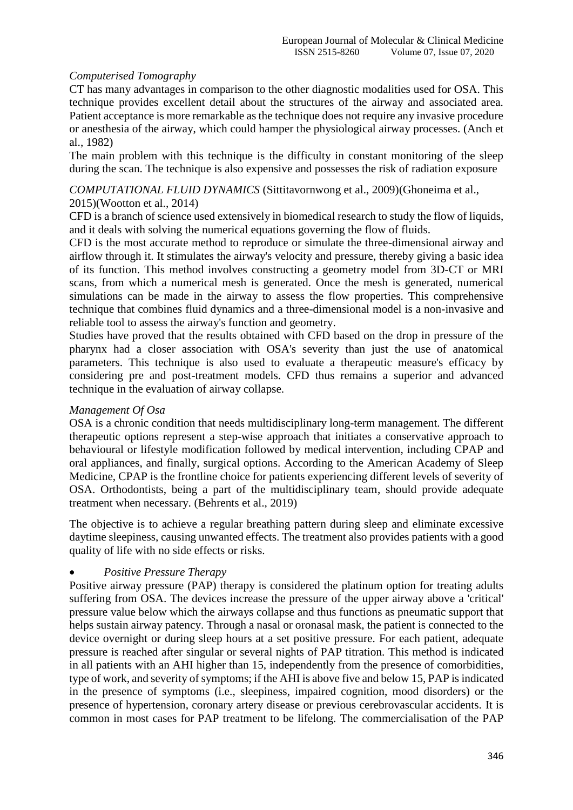# *Computerised Tomography*

CT has many advantages in comparison to the other diagnostic modalities used for OSA. This technique provides excellent detail about the structures of the airway and associated area. Patient acceptance is more remarkable as the technique does not require any invasive procedure or anesthesia of the airway, which could hamper the physiological airway processes. (Anch et al., 1982)

The main problem with this technique is the difficulty in constant monitoring of the sleep during the scan. The technique is also expensive and possesses the risk of radiation exposure

## *COMPUTATIONAL FLUID DYNAMICS* (Sittitavornwong et al., 2009)(Ghoneima et al., 2015)(Wootton et al., 2014)

CFD is a branch of science used extensively in biomedical research to study the flow of liquids, and it deals with solving the numerical equations governing the flow of fluids.

CFD is the most accurate method to reproduce or simulate the three-dimensional airway and airflow through it. It stimulates the airway's velocity and pressure, thereby giving a basic idea of its function. This method involves constructing a geometry model from 3D-CT or MRI scans, from which a numerical mesh is generated. Once the mesh is generated, numerical simulations can be made in the airway to assess the flow properties. This comprehensive technique that combines fluid dynamics and a three-dimensional model is a non-invasive and reliable tool to assess the airway's function and geometry.

Studies have proved that the results obtained with CFD based on the drop in pressure of the pharynx had a closer association with OSA's severity than just the use of anatomical parameters. This technique is also used to evaluate a therapeutic measure's efficacy by considering pre and post-treatment models. CFD thus remains a superior and advanced technique in the evaluation of airway collapse.

## *Management Of Osa*

OSA is a chronic condition that needs multidisciplinary long-term management. The different therapeutic options represent a step-wise approach that initiates a conservative approach to behavioural or lifestyle modification followed by medical intervention, including CPAP and oral appliances, and finally, surgical options. According to the American Academy of Sleep Medicine, CPAP is the frontline choice for patients experiencing different levels of severity of OSA. Orthodontists, being a part of the multidisciplinary team, should provide adequate treatment when necessary. (Behrents et al., 2019)

The objective is to achieve a regular breathing pattern during sleep and eliminate excessive daytime sleepiness, causing unwanted effects. The treatment also provides patients with a good quality of life with no side effects or risks.

# *Positive Pressure Therapy*

Positive airway pressure (PAP) therapy is considered the platinum option for treating adults suffering from OSA. The devices increase the pressure of the upper airway above a 'critical' pressure value below which the airways collapse and thus functions as pneumatic support that helps sustain airway patency. Through a nasal or oronasal mask, the patient is connected to the device overnight or during sleep hours at a set positive pressure. For each patient, adequate pressure is reached after singular or several nights of PAP titration. This method is indicated in all patients with an AHI higher than 15, independently from the presence of comorbidities, type of work, and severity of symptoms; if the AHI is above five and below 15, PAP is indicated in the presence of symptoms (i.e., sleepiness, impaired cognition, mood disorders) or the presence of hypertension, coronary artery disease or previous cerebrovascular accidents. It is common in most cases for PAP treatment to be lifelong. The commercialisation of the PAP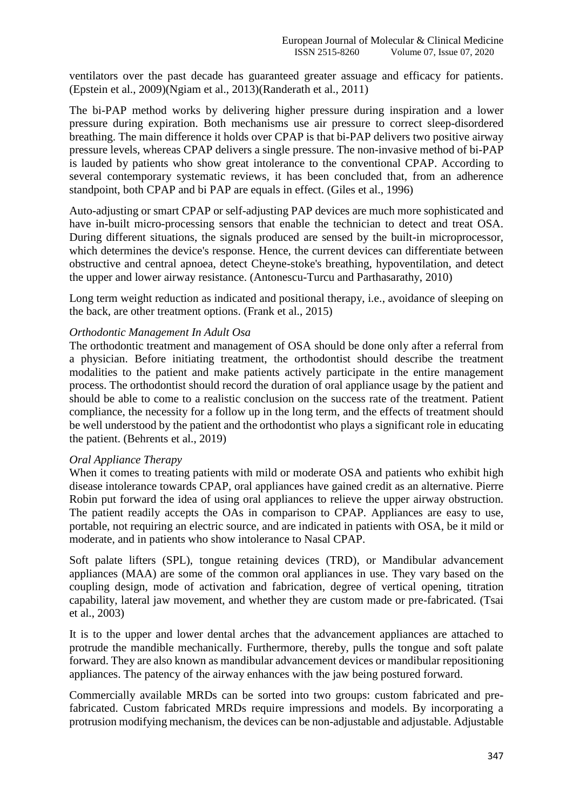ventilators over the past decade has guaranteed greater assuage and efficacy for patients. (Epstein et al., 2009)(Ngiam et al., 2013)(Randerath et al., 2011)

The bi-PAP method works by delivering higher pressure during inspiration and a lower pressure during expiration. Both mechanisms use air pressure to correct sleep-disordered breathing. The main difference it holds over CPAP is that bi-PAP delivers two positive airway pressure levels, whereas CPAP delivers a single pressure. The non-invasive method of bi-PAP is lauded by patients who show great intolerance to the conventional CPAP. According to several contemporary systematic reviews, it has been concluded that, from an adherence standpoint, both CPAP and bi PAP are equals in effect. (Giles et al., 1996)

Auto-adjusting or smart CPAP or self-adjusting PAP devices are much more sophisticated and have in-built micro-processing sensors that enable the technician to detect and treat OSA. During different situations, the signals produced are sensed by the built-in microprocessor, which determines the device's response. Hence, the current devices can differentiate between obstructive and central apnoea, detect Cheyne-stoke's breathing, hypoventilation, and detect the upper and lower airway resistance. (Antonescu-Turcu and Parthasarathy, 2010)

Long term weight reduction as indicated and positional therapy, i.e., avoidance of sleeping on the back, are other treatment options. (Frank et al., 2015)

## *Orthodontic Management In Adult Osa*

The orthodontic treatment and management of OSA should be done only after a referral from a physician. Before initiating treatment, the orthodontist should describe the treatment modalities to the patient and make patients actively participate in the entire management process. The orthodontist should record the duration of oral appliance usage by the patient and should be able to come to a realistic conclusion on the success rate of the treatment. Patient compliance, the necessity for a follow up in the long term, and the effects of treatment should be well understood by the patient and the orthodontist who plays a significant role in educating the patient. (Behrents et al., 2019)

#### *Oral Appliance Therapy*

When it comes to treating patients with mild or moderate OSA and patients who exhibit high disease intolerance towards CPAP, oral appliances have gained credit as an alternative. Pierre Robin put forward the idea of using oral appliances to relieve the upper airway obstruction. The patient readily accepts the OAs in comparison to CPAP. Appliances are easy to use, portable, not requiring an electric source, and are indicated in patients with OSA, be it mild or moderate, and in patients who show intolerance to Nasal CPAP.

Soft palate lifters (SPL), tongue retaining devices (TRD), or Mandibular advancement appliances (MAA) are some of the common oral appliances in use. They vary based on the coupling design, mode of activation and fabrication, degree of vertical opening, titration capability, lateral jaw movement, and whether they are custom made or pre-fabricated. (Tsai et al., 2003)

It is to the upper and lower dental arches that the advancement appliances are attached to protrude the mandible mechanically. Furthermore, thereby, pulls the tongue and soft palate forward. They are also known as mandibular advancement devices or mandibular repositioning appliances. The patency of the airway enhances with the jaw being postured forward.

Commercially available MRDs can be sorted into two groups: custom fabricated and prefabricated. Custom fabricated MRDs require impressions and models. By incorporating a protrusion modifying mechanism, the devices can be non-adjustable and adjustable. Adjustable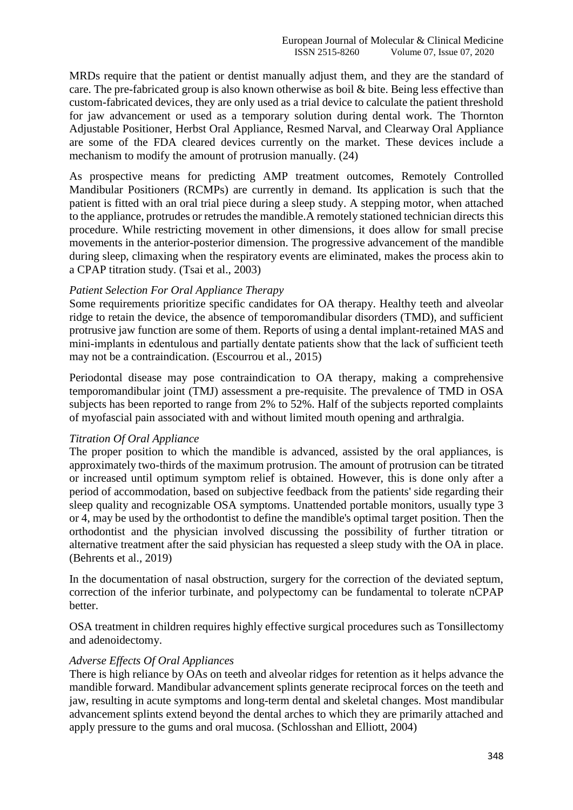MRDs require that the patient or dentist manually adjust them, and they are the standard of care. The pre-fabricated group is also known otherwise as boil & bite. Being less effective than custom-fabricated devices, they are only used as a trial device to calculate the patient threshold for jaw advancement or used as a temporary solution during dental work. The Thornton Adjustable Positioner, Herbst Oral Appliance, Resmed Narval, and Clearway Oral Appliance are some of the FDA cleared devices currently on the market. These devices include a mechanism to modify the amount of protrusion manually. (24)

As prospective means for predicting AMP treatment outcomes, Remotely Controlled Mandibular Positioners (RCMPs) are currently in demand. Its application is such that the patient is fitted with an oral trial piece during a sleep study. A stepping motor, when attached to the appliance, protrudes or retrudes the mandible.A remotely stationed technician directs this procedure. While restricting movement in other dimensions, it does allow for small precise movements in the anterior-posterior dimension. The progressive advancement of the mandible during sleep, climaxing when the respiratory events are eliminated, makes the process akin to a CPAP titration study. (Tsai et al., 2003)

#### *Patient Selection For Oral Appliance Therapy*

Some requirements prioritize specific candidates for OA therapy. Healthy teeth and alveolar ridge to retain the device, the absence of temporomandibular disorders (TMD), and sufficient protrusive jaw function are some of them. Reports of using a dental implant-retained MAS and mini-implants in edentulous and partially dentate patients show that the lack of sufficient teeth may not be a contraindication. (Escourrou et al., 2015)

Periodontal disease may pose contraindication to OA therapy, making a comprehensive temporomandibular joint (TMJ) assessment a pre-requisite. The prevalence of TMD in OSA subjects has been reported to range from 2% to 52%. Half of the subjects reported complaints of myofascial pain associated with and without limited mouth opening and arthralgia.

#### *Titration Of Oral Appliance*

The proper position to which the mandible is advanced, assisted by the oral appliances, is approximately two-thirds of the maximum protrusion. The amount of protrusion can be titrated or increased until optimum symptom relief is obtained. However, this is done only after a period of accommodation, based on subjective feedback from the patients' side regarding their sleep quality and recognizable OSA symptoms. Unattended portable monitors, usually type 3 or 4, may be used by the orthodontist to define the mandible's optimal target position. Then the orthodontist and the physician involved discussing the possibility of further titration or alternative treatment after the said physician has requested a sleep study with the OA in place. (Behrents et al., 2019)

In the documentation of nasal obstruction, surgery for the correction of the deviated septum, correction of the inferior turbinate, and polypectomy can be fundamental to tolerate nCPAP better.

OSA treatment in children requires highly effective surgical procedures such as Tonsillectomy and adenoidectomy.

#### *Adverse Effects Of Oral Appliances*

There is high reliance by OAs on teeth and alveolar ridges for retention as it helps advance the mandible forward. Mandibular advancement splints generate reciprocal forces on the teeth and jaw, resulting in acute symptoms and long-term dental and skeletal changes. Most mandibular advancement splints extend beyond the dental arches to which they are primarily attached and apply pressure to the gums and oral mucosa. (Schlosshan and Elliott, 2004)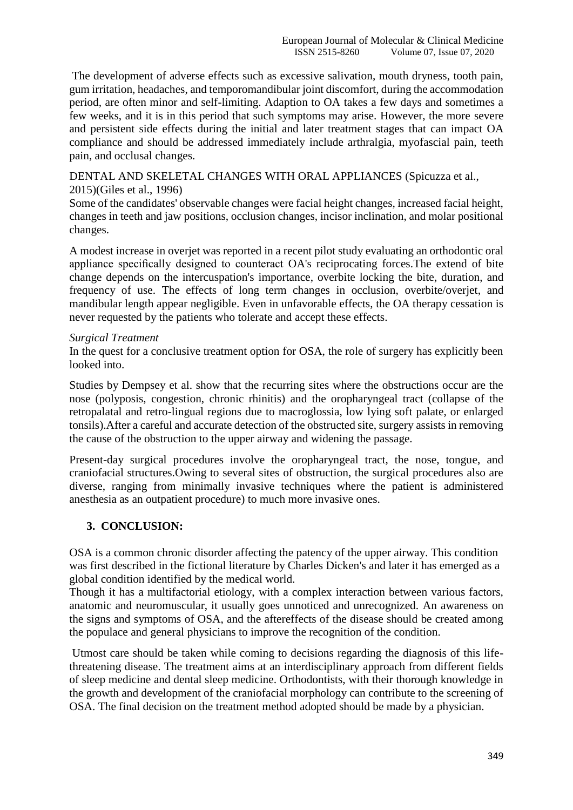The development of adverse effects such as excessive salivation, mouth dryness, tooth pain, gum irritation, headaches, and temporomandibular joint discomfort, during the accommodation period, are often minor and self-limiting. Adaption to OA takes a few days and sometimes a few weeks, and it is in this period that such symptoms may arise. However, the more severe and persistent side effects during the initial and later treatment stages that can impact OA compliance and should be addressed immediately include arthralgia, myofascial pain, teeth pain, and occlusal changes.

DENTAL AND SKELETAL CHANGES WITH ORAL APPLIANCES (Spicuzza et al., 2015)(Giles et al., 1996)

Some of the candidates' observable changes were facial height changes, increased facial height, changes in teeth and jaw positions, occlusion changes, incisor inclination, and molar positional changes.

A modest increase in overjet was reported in a recent pilot study evaluating an orthodontic oral appliance specifically designed to counteract OA's reciprocating forces.The extend of bite change depends on the intercuspation's importance, overbite locking the bite, duration, and frequency of use. The effects of long term changes in occlusion, overbite/overjet, and mandibular length appear negligible. Even in unfavorable effects, the OA therapy cessation is never requested by the patients who tolerate and accept these effects.

#### *Surgical Treatment*

In the quest for a conclusive treatment option for OSA, the role of surgery has explicitly been looked into.

Studies by Dempsey et al. show that the recurring sites where the obstructions occur are the nose (polyposis, congestion, chronic rhinitis) and the oropharyngeal tract (collapse of the retropalatal and retro-lingual regions due to macroglossia, low lying soft palate, or enlarged tonsils).After a careful and accurate detection of the obstructed site, surgery assists in removing the cause of the obstruction to the upper airway and widening the passage.

Present-day surgical procedures involve the oropharyngeal tract, the nose, tongue, and craniofacial structures.Owing to several sites of obstruction, the surgical procedures also are diverse, ranging from minimally invasive techniques where the patient is administered anesthesia as an outpatient procedure) to much more invasive ones.

## **3. CONCLUSION:**

OSA is a common chronic disorder affecting the patency of the upper airway. This condition was first described in the fictional literature by Charles Dicken's and later it has emerged as a global condition identified by the medical world.

Though it has a multifactorial etiology, with a complex interaction between various factors, anatomic and neuromuscular, it usually goes unnoticed and unrecognized. An awareness on the signs and symptoms of OSA, and the aftereffects of the disease should be created among the populace and general physicians to improve the recognition of the condition.

Utmost care should be taken while coming to decisions regarding the diagnosis of this lifethreatening disease. The treatment aims at an interdisciplinary approach from different fields of sleep medicine and dental sleep medicine. Orthodontists, with their thorough knowledge in the growth and development of the craniofacial morphology can contribute to the screening of OSA. The final decision on the treatment method adopted should be made by a physician.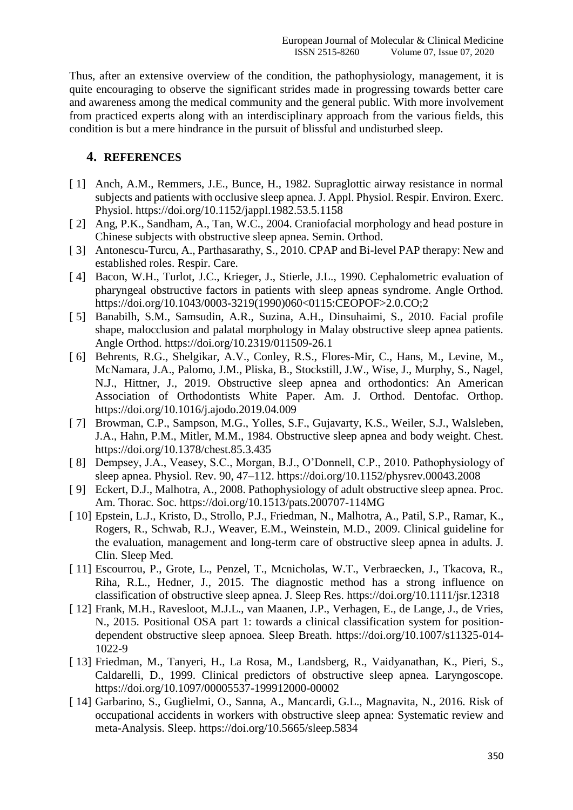Thus, after an extensive overview of the condition, the pathophysiology, management, it is quite encouraging to observe the significant strides made in progressing towards better care and awareness among the medical community and the general public. With more involvement from practiced experts along with an interdisciplinary approach from the various fields, this condition is but a mere hindrance in the pursuit of blissful and undisturbed sleep.

# **4. REFERENCES**

- [1] Anch, A.M., Remmers, J.E., Bunce, H., 1982. Supraglottic airway resistance in normal subjects and patients with occlusive sleep apnea. J. Appl. Physiol. Respir. Environ. Exerc. Physiol. https://doi.org/10.1152/jappl.1982.53.5.1158
- [ 2] Ang, P.K., Sandham, A., Tan, W.C., 2004. Craniofacial morphology and head posture in Chinese subjects with obstructive sleep apnea. Semin. Orthod.
- [ 3] Antonescu-Turcu, A., Parthasarathy, S., 2010. CPAP and Bi-level PAP therapy: New and established roles. Respir. Care.
- [4] Bacon, W.H., Turlot, J.C., Krieger, J., Stierle, J.L., 1990. Cephalometric evaluation of pharyngeal obstructive factors in patients with sleep apneas syndrome. Angle Orthod. https://doi.org/10.1043/0003-3219(1990)060<0115:CEOPOF>2.0.CO;2
- [ 5] Banabilh, S.M., Samsudin, A.R., Suzina, A.H., Dinsuhaimi, S., 2010. Facial profile shape, malocclusion and palatal morphology in Malay obstructive sleep apnea patients. Angle Orthod. https://doi.org/10.2319/011509-26.1
- [ 6] Behrents, R.G., Shelgikar, A.V., Conley, R.S., Flores-Mir, C., Hans, M., Levine, M., McNamara, J.A., Palomo, J.M., Pliska, B., Stockstill, J.W., Wise, J., Murphy, S., Nagel, N.J., Hittner, J., 2019. Obstructive sleep apnea and orthodontics: An American Association of Orthodontists White Paper. Am. J. Orthod. Dentofac. Orthop. https://doi.org/10.1016/j.ajodo.2019.04.009
- [ 7] Browman, C.P., Sampson, M.G., Yolles, S.F., Gujavarty, K.S., Weiler, S.J., Walsleben, J.A., Hahn, P.M., Mitler, M.M., 1984. Obstructive sleep apnea and body weight. Chest. https://doi.org/10.1378/chest.85.3.435
- [ 8] Dempsey, J.A., Veasey, S.C., Morgan, B.J., O'Donnell, C.P., 2010. Pathophysiology of sleep apnea. Physiol. Rev. 90, 47–112. https://doi.org/10.1152/physrev.00043.2008
- [9] Eckert, D.J., Malhotra, A., 2008. Pathophysiology of adult obstructive sleep apnea. Proc. Am. Thorac. Soc. https://doi.org/10.1513/pats.200707-114MG
- [ 10] Epstein, L.J., Kristo, D., Strollo, P.J., Friedman, N., Malhotra, A., Patil, S.P., Ramar, K., Rogers, R., Schwab, R.J., Weaver, E.M., Weinstein, M.D., 2009. Clinical guideline for the evaluation, management and long-term care of obstructive sleep apnea in adults. J. Clin. Sleep Med.
- [ 11] Escourrou, P., Grote, L., Penzel, T., Mcnicholas, W.T., Verbraecken, J., Tkacova, R., Riha, R.L., Hedner, J., 2015. The diagnostic method has a strong influence on classification of obstructive sleep apnea. J. Sleep Res. https://doi.org/10.1111/jsr.12318
- [ 12] Frank, M.H., Ravesloot, M.J.L., van Maanen, J.P., Verhagen, E., de Lange, J., de Vries, N., 2015. Positional OSA part 1: towards a clinical classification system for positiondependent obstructive sleep apnoea. Sleep Breath. https://doi.org/10.1007/s11325-014- 1022-9
- [ 13] Friedman, M., Tanyeri, H., La Rosa, M., Landsberg, R., Vaidyanathan, K., Pieri, S., Caldarelli, D., 1999. Clinical predictors of obstructive sleep apnea. Laryngoscope. https://doi.org/10.1097/00005537-199912000-00002
- [ 14] Garbarino, S., Guglielmi, O., Sanna, A., Mancardi, G.L., Magnavita, N., 2016. Risk of occupational accidents in workers with obstructive sleep apnea: Systematic review and meta-Analysis. Sleep. https://doi.org/10.5665/sleep.5834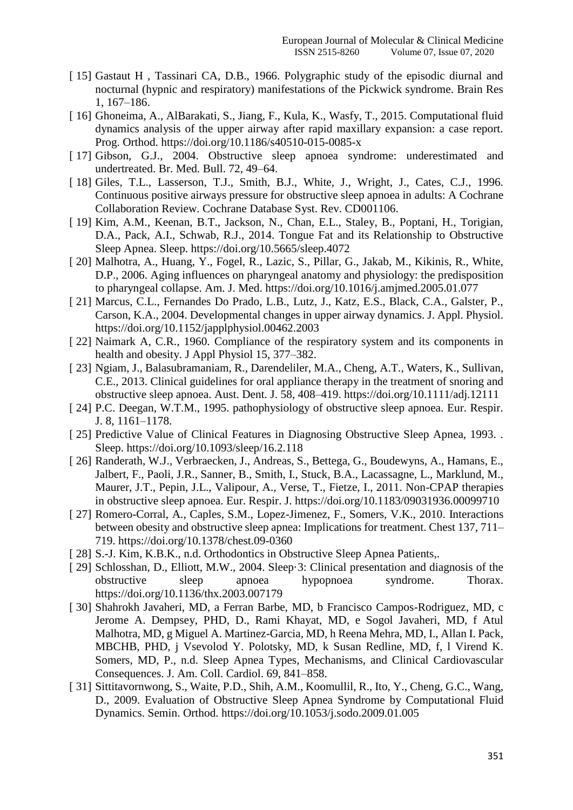- [ 15] Gastaut H, Tassinari CA, D.B., 1966. Polygraphic study of the episodic diurnal and nocturnal (hypnic and respiratory) manifestations of the Pickwick syndrome. Brain Res 1, 167–186.
- [ 16] Ghoneima, A., AlBarakati, S., Jiang, F., Kula, K., Wasfy, T., 2015. Computational fluid dynamics analysis of the upper airway after rapid maxillary expansion: a case report. Prog. Orthod. https://doi.org/10.1186/s40510-015-0085-x
- [ 17] Gibson, G.J., 2004. Obstructive sleep apnoea syndrome: underestimated and undertreated. Br. Med. Bull. 72, 49–64.
- [ 18] Giles, T.L., Lasserson, T.J., Smith, B.J., White, J., Wright, J., Cates, C.J., 1996. Continuous positive airways pressure for obstructive sleep apnoea in adults: A Cochrane Collaboration Review. Cochrane Database Syst. Rev. CD001106.
- [ 19] Kim, A.M., Keenan, B.T., Jackson, N., Chan, E.L., Staley, B., Poptani, H., Torigian, D.A., Pack, A.I., Schwab, R.J., 2014. Tongue Fat and its Relationship to Obstructive Sleep Apnea. Sleep. https://doi.org/10.5665/sleep.4072
- [ 20] Malhotra, A., Huang, Y., Fogel, R., Lazic, S., Pillar, G., Jakab, M., Kikinis, R., White, D.P., 2006. Aging influences on pharyngeal anatomy and physiology: the predisposition to pharyngeal collapse. Am. J. Med. https://doi.org/10.1016/j.amjmed.2005.01.077
- [ 21] Marcus, C.L., Fernandes Do Prado, L.B., Lutz, J., Katz, E.S., Black, C.A., Galster, P., Carson, K.A., 2004. Developmental changes in upper airway dynamics. J. Appl. Physiol. https://doi.org/10.1152/japplphysiol.00462.2003
- [ 22] Naimark A, C.R., 1960. Compliance of the respiratory system and its components in health and obesity. J Appl Physiol 15, 377–382.
- [ 23] Ngiam, J., Balasubramaniam, R., Darendeliler, M.A., Cheng, A.T., Waters, K., Sullivan, C.E., 2013. Clinical guidelines for oral appliance therapy in the treatment of snoring and obstructive sleep apnoea. Aust. Dent. J. 58, 408–419. https://doi.org/10.1111/adj.12111
- [ 24] P.C. Deegan, W.T.M., 1995. pathophysiology of obstructive sleep apnoea. Eur. Respir. J. 8, 1161–1178.
- [ 25] Predictive Value of Clinical Features in Diagnosing Obstructive Sleep Apnea, 1993. . Sleep. https://doi.org/10.1093/sleep/16.2.118
- [ 26] Randerath, W.J., Verbraecken, J., Andreas, S., Bettega, G., Boudewyns, A., Hamans, E., Jalbert, F., Paoli, J.R., Sanner, B., Smith, I., Stuck, B.A., Lacassagne, L., Marklund, M., Maurer, J.T., Pepin, J.L., Valipour, A., Verse, T., Fietze, I., 2011. Non-CPAP therapies in obstructive sleep apnoea. Eur. Respir. J. https://doi.org/10.1183/09031936.00099710
- [ 27] Romero-Corral, A., Caples, S.M., Lopez-Jimenez, F., Somers, V.K., 2010. Interactions between obesity and obstructive sleep apnea: Implications for treatment. Chest 137, 711– 719. https://doi.org/10.1378/chest.09-0360
- [ 28] S.-J. Kim, K.B.K., n.d. Orthodontics in Obstructive Sleep Apnea Patients,.
- [ 29] Schlosshan, D., Elliott, M.W., 2004. Sleep.3: Clinical presentation and diagnosis of the obstructive sleep apnoea hypopnoea syndrome. Thorax. https://doi.org/10.1136/thx.2003.007179
- [ 30] Shahrokh Javaheri, MD, a Ferran Barbe, MD, b Francisco Campos-Rodriguez, MD, c Jerome A. Dempsey, PHD, D., Rami Khayat, MD, e Sogol Javaheri, MD, f Atul Malhotra, MD, g Miguel A. Martinez-Garcia, MD, h Reena Mehra, MD, I., Allan I. Pack, MBCHB, PHD, j Vsevolod Y. Polotsky, MD, k Susan Redline, MD, f, l Virend K. Somers, MD, P., n.d. Sleep Apnea Types, Mechanisms, and Clinical Cardiovascular Consequences. J. Am. Coll. Cardiol. 69, 841–858.
- [ 31] Sittitavornwong, S., Waite, P.D., Shih, A.M., Koomullil, R., Ito, Y., Cheng, G.C., Wang, D., 2009. Evaluation of Obstructive Sleep Apnea Syndrome by Computational Fluid Dynamics. Semin. Orthod. https://doi.org/10.1053/j.sodo.2009.01.005